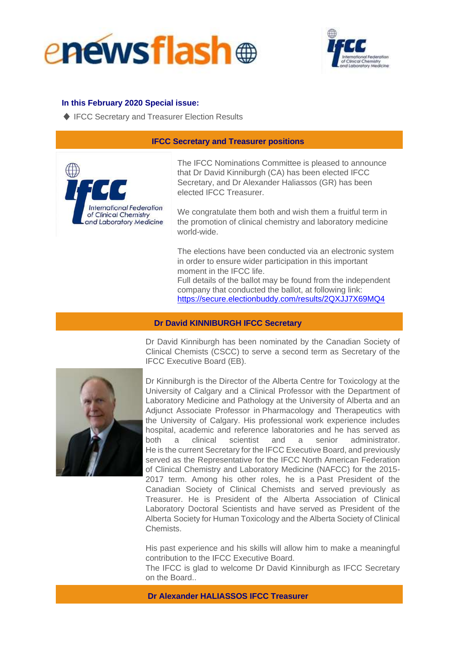



## **In this February 2020 Special issue:**

♦ IFCC Secretary and Treasurer Election Results

## **IFCC Secretary and Treasurer positions**



The IFCC Nominations Committee is pleased to announce that Dr David Kinniburgh (CA) has been elected IFCC Secretary, and Dr Alexander Haliassos (GR) has been elected IFCC Treasurer.

We congratulate them both and wish them a fruitful term in the promotion of clinical chemistry and laboratory medicine world-wide.

The elections have been conducted via an electronic system in order to ensure wider participation in this important moment in the IFCC life.

Full details of the ballot may be found from the independent company that conducted the ballot, at following link: <https://secure.electionbuddy.com/results/2QXJJ7X69MQ4>

## **Dr David KINNIBURGH IFCC Secretary**



Dr David Kinniburgh has been nominated by the Canadian Society of Clinical Chemists (CSCC) to serve a second term as Secretary of the IFCC Executive Board (EB).

Dr Kinniburgh is the Director of the Alberta Centre for Toxicology at the University of Calgary and a Clinical Professor with the Department of Laboratory Medicine and Pathology at the University of Alberta and an Adjunct Associate Professor in Pharmacology and Therapeutics with the University of Calgary. His professional work experience includes hospital, academic and reference laboratories and he has served as both a clinical scientist and a senior administrator. He is the current Secretary for the IFCC Executive Board, and previously served as the Representative for the IFCC North American Federation of Clinical Chemistry and Laboratory Medicine (NAFCC) for the 2015- 2017 term. Among his other roles, he is a Past President of the Canadian Society of Clinical Chemists and served previously as Treasurer. He is President of the Alberta Association of Clinical Laboratory Doctoral Scientists and have served as President of the Alberta Society for Human Toxicology and the Alberta Society of Clinical Chemists.

His past experience and his skills will allow him to make a meaningful contribution to the IFCC Executive Board.

The IFCC is glad to welcome Dr David Kinniburgh as IFCC Secretary on the Board..

**Dr Alexander HALIASSOS IFCC Treasurer**